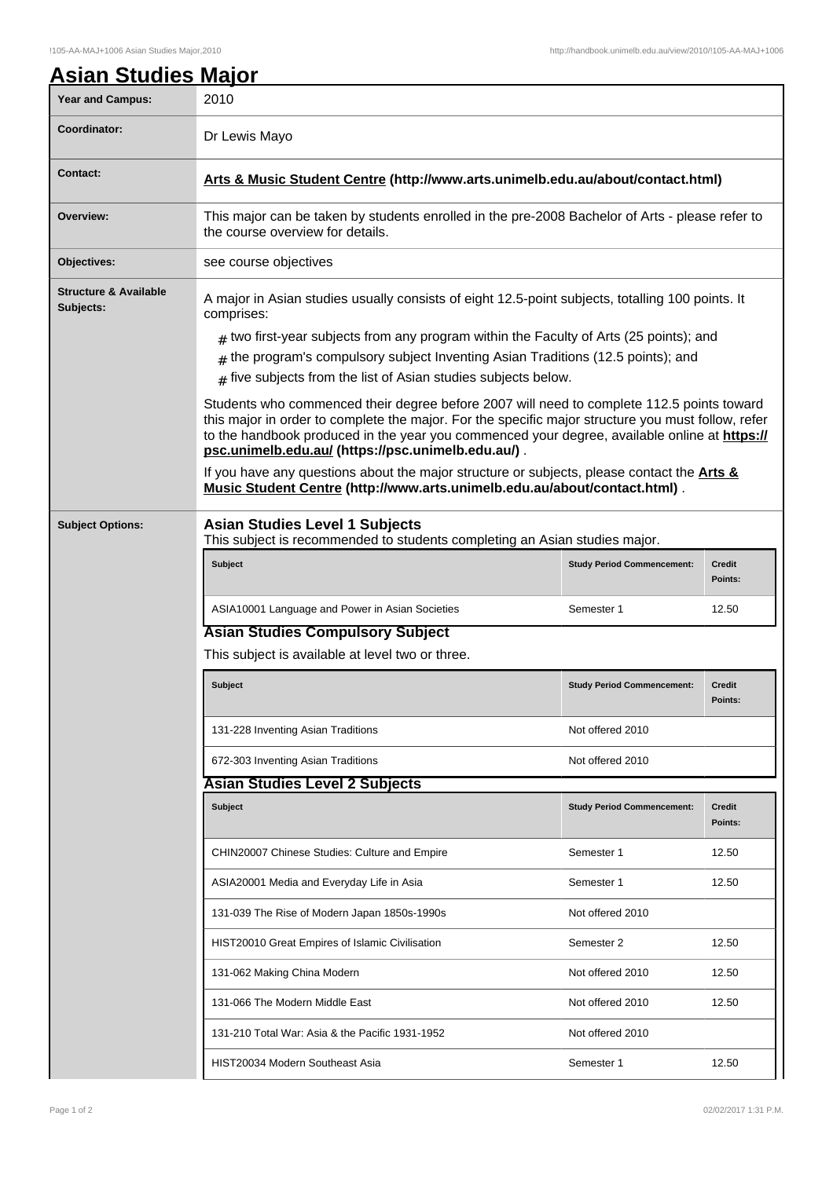## !105-AA-MAJ+1006 Asian Studies Major,2010 http://handbook.unimelb.edu.au/view/2010/!105-AA-MAJ+1006

| <b>Asian Studies Major</b>                    |                                                                                                                                                                                                                                                                                                                                                       |                                   |                          |  |  |
|-----------------------------------------------|-------------------------------------------------------------------------------------------------------------------------------------------------------------------------------------------------------------------------------------------------------------------------------------------------------------------------------------------------------|-----------------------------------|--------------------------|--|--|
| <b>Year and Campus:</b>                       | 2010                                                                                                                                                                                                                                                                                                                                                  |                                   |                          |  |  |
| <b>Coordinator:</b>                           | Dr Lewis Mayo                                                                                                                                                                                                                                                                                                                                         |                                   |                          |  |  |
| <b>Contact:</b>                               | Arts & Music Student Centre (http://www.arts.unimelb.edu.au/about/contact.html)                                                                                                                                                                                                                                                                       |                                   |                          |  |  |
| Overview:                                     | This major can be taken by students enrolled in the pre-2008 Bachelor of Arts - please refer to<br>the course overview for details.                                                                                                                                                                                                                   |                                   |                          |  |  |
| Objectives:                                   | see course objectives                                                                                                                                                                                                                                                                                                                                 |                                   |                          |  |  |
| <b>Structure &amp; Available</b><br>Subjects: | A major in Asian studies usually consists of eight 12.5-point subjects, totalling 100 points. It<br>comprises:                                                                                                                                                                                                                                        |                                   |                          |  |  |
|                                               | $_{\#}$ two first-year subjects from any program within the Faculty of Arts (25 points); and                                                                                                                                                                                                                                                          |                                   |                          |  |  |
|                                               | the program's compulsory subject Inventing Asian Traditions (12.5 points); and                                                                                                                                                                                                                                                                        |                                   |                          |  |  |
|                                               | $_{\#}$ five subjects from the list of Asian studies subjects below.                                                                                                                                                                                                                                                                                  |                                   |                          |  |  |
|                                               | Students who commenced their degree before 2007 will need to complete 112.5 points toward<br>this major in order to complete the major. For the specific major structure you must follow, refer<br>to the handbook produced in the year you commenced your degree, available online at https://<br>psc.unimelb.edu.au/ (https://psc.unimelb.edu.au/). |                                   |                          |  |  |
|                                               | If you have any questions about the major structure or subjects, please contact the <b>Arts &amp;</b><br>Music Student Centre (http://www.arts.unimelb.edu.au/about/contact.html).                                                                                                                                                                    |                                   |                          |  |  |
| <b>Subject Options:</b>                       | <b>Asian Studies Level 1 Subjects</b><br>This subject is recommended to students completing an Asian studies major.                                                                                                                                                                                                                                   |                                   |                          |  |  |
|                                               | <b>Subject</b>                                                                                                                                                                                                                                                                                                                                        | <b>Study Period Commencement:</b> | <b>Credit</b><br>Points: |  |  |
|                                               | ASIA10001 Language and Power in Asian Societies                                                                                                                                                                                                                                                                                                       | Semester 1                        | 12.50                    |  |  |
|                                               | <b>Asian Studies Compulsory Subject</b>                                                                                                                                                                                                                                                                                                               |                                   |                          |  |  |
|                                               | This subject is available at level two or three.                                                                                                                                                                                                                                                                                                      |                                   |                          |  |  |
|                                               | <b>Subject</b>                                                                                                                                                                                                                                                                                                                                        | <b>Study Period Commencement:</b> | <b>Credit</b><br>Points: |  |  |
|                                               | 131-228 Inventing Asian Traditions                                                                                                                                                                                                                                                                                                                    | Not offered 2010                  |                          |  |  |
|                                               | 672-303 Inventing Asian Traditions                                                                                                                                                                                                                                                                                                                    | Not offered 2010                  |                          |  |  |
|                                               | <b>Asian Studies Level 2 Subjects</b>                                                                                                                                                                                                                                                                                                                 |                                   |                          |  |  |
|                                               | <b>Subject</b>                                                                                                                                                                                                                                                                                                                                        | <b>Study Period Commencement:</b> | <b>Credit</b><br>Points: |  |  |
|                                               | CHIN20007 Chinese Studies: Culture and Empire                                                                                                                                                                                                                                                                                                         | Semester 1                        | 12.50                    |  |  |
|                                               | ASIA20001 Media and Everyday Life in Asia                                                                                                                                                                                                                                                                                                             | Semester 1                        | 12.50                    |  |  |
|                                               | 131-039 The Rise of Modern Japan 1850s-1990s                                                                                                                                                                                                                                                                                                          | Not offered 2010                  |                          |  |  |
|                                               | HIST20010 Great Empires of Islamic Civilisation                                                                                                                                                                                                                                                                                                       | Semester 2                        | 12.50                    |  |  |
|                                               | 131-062 Making China Modern                                                                                                                                                                                                                                                                                                                           | Not offered 2010                  | 12.50                    |  |  |
|                                               | 131-066 The Modern Middle East                                                                                                                                                                                                                                                                                                                        | Not offered 2010                  | 12.50                    |  |  |
|                                               | 131-210 Total War: Asia & the Pacific 1931-1952                                                                                                                                                                                                                                                                                                       | Not offered 2010                  |                          |  |  |
|                                               | HIST20034 Modern Southeast Asia                                                                                                                                                                                                                                                                                                                       | Semester 1                        | 12.50                    |  |  |